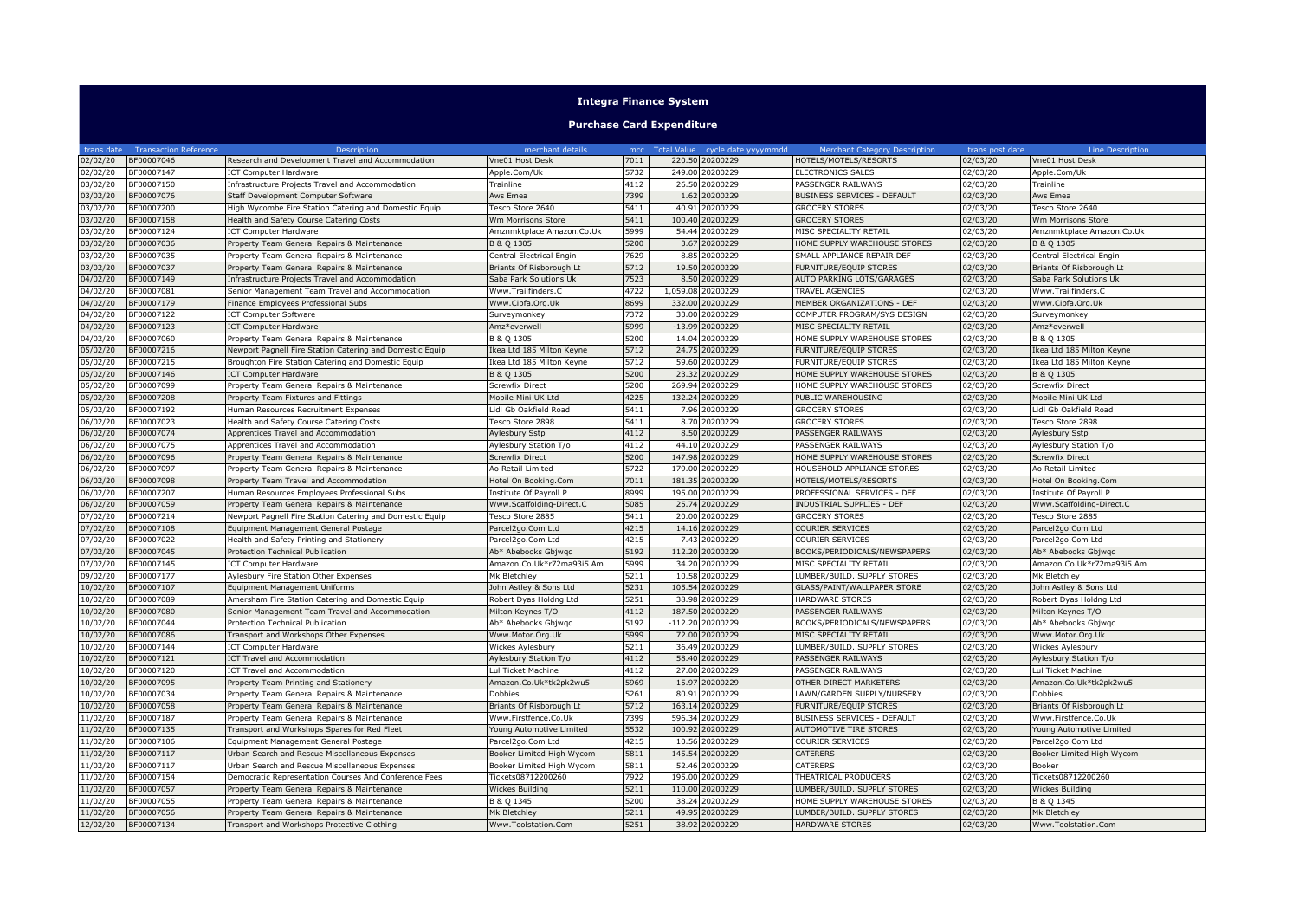## **Integra Finance System**

## **Purchase Card Expenditure**

| trans date | <b>Transaction Reference</b> | Description                                                     | merchant details          |      | mcc Total Value cycle date yyyymmdd | <b>Merchant Category Description</b> | trans post date | Line Description          |
|------------|------------------------------|-----------------------------------------------------------------|---------------------------|------|-------------------------------------|--------------------------------------|-----------------|---------------------------|
| 02/02/20   | BF00007046                   | esearch and Development Travel and Accommodation                | Vne01 Host Desk           | 7011 | 220.50<br>20200229                  | HOTELS/MOTELS/RESORTS                | 02/03/20        | Vne01 Host Desk           |
| 02/02/20   | BF00007147                   | ICT Computer Hardware                                           | Apple.Com/Uk              | 5732 | 249.00<br>20200229                  | ELECTRONICS SALES                    | 02/03/20        | Apple.Com/Uk              |
| 03/02/20   | BF00007150                   | Infrastructure Projects Travel and Accommodation                | Trainline                 | 4112 | 26.50<br>20200229                   | PASSENGER RAILWAYS                   | 02/03/20        | Trainline                 |
| 03/02/20   | BF00007076                   | Staff Development Computer Software                             | Aws Emea                  | 7399 | 20200229<br>1.62                    | BUSINESS SERVICES - DEFAULT          | 02/03/20        | Aws Emea                  |
| 03/02/20   | BF00007200                   | ligh Wycombe Fire Station Catering and Domestic Equip           | Tesco Store 2640          | 5411 | 40.91<br>20200229                   | <b>GROCERY STORES</b>                | 02/03/20        | Tesco Store 2640          |
| 03/02/20   | BF00007158                   | Health and Safety Course Catering Costs                         | Wm Morrisons Store        | 5411 | 100.40<br>20200229                  | <b>GROCERY STORES</b>                | 02/03/20        | Wm Morrisons Store        |
| 03/02/20   | BF00007124                   | CT Computer Hardware                                            | Amznmktplace Amazon.Co.Uk | 5999 | 54.44<br>20200229                   | MISC SPECIALITY RETAIL               | 02/03/20        | Amznmktplace Amazon.Co.Uk |
| 03/02/20   | BF00007036                   | Property Team General Repairs & Maintenance                     | B & Q 1305                | 5200 | 3.67<br>20200229                    | HOME SUPPLY WAREHOUSE STORES         | 02/03/20        | B & Q 1305                |
| 03/02/20   | BF00007035                   | Property Team General Repairs & Maintenance                     | Central Electrical Engin  | 7629 | 8.85<br>20200229                    | SMALL APPLIANCE REPAIR DEF           | 02/03/20        | Central Electrical Engin  |
| 03/02/20   | BF00007037                   | Property Team General Repairs & Maintenance                     | Briants Of Risborough Lt  | 5712 | 19.50<br>20200229                   | FURNITURE/EQUIP STORES               | 02/03/20        | Briants Of Risborough Lt  |
| 04/02/20   | BF00007149                   | Infrastructure Projects Travel and Accommodation                | Saba Park Solutions Uk    | 7523 | 20200229<br>8.50                    | AUTO PARKING LOTS/GARAGES            | 02/03/20        | Saba Park Solutions Uk    |
| 04/02/20   | BF00007081                   | Senior Management Team Travel and Accommodation                 | Www.Trailfinders.C        | 4722 | 1,059.08<br>20200229                | <b>TRAVEL AGENCIES</b>               | 02/03/20        | Www.Trailfinders.C        |
| 04/02/20   | BF00007179                   | Finance Employees Professional Subs                             | Www.Cipfa.Org.Uk          | 8699 | 20200229<br>332.00                  | MEMBER ORGANIZATIONS - DEF           | 02/03/20        | Www.Cipfa.Org.Uk          |
| 04/02/20   | BF00007122                   | CT Computer Software                                            | Surveymonkey              | 7372 | 20200229<br>33.00                   | COMPUTER PROGRAM/SYS DESIGN          | 02/03/20        | Surveymonkey              |
| 04/02/20   | BF00007123                   | <b>ICT Computer Hardware</b>                                    | Amz*everwell              | 5999 | $-13.99$<br>20200229                | MISC SPECIALITY RETAIL               | 02/03/20        | Amz*everwell              |
| 04/02/20   | BF00007060                   | Property Team General Repairs & Maintenance                     | B & Q 1305                | 5200 | 20200229<br>14.04                   | HOME SUPPLY WAREHOUSE STORES         | 02/03/20        | B & Q 1305                |
| 05/02/20   | BF00007216                   | <b>Newport Pagnell Fire Station Catering and Domestic Equip</b> | Ikea Ltd 185 Milton Keyne | 5712 | 24.75<br>20200229                   | FURNITURE/EQUIP STORES               | 02/03/20        | Ikea Ltd 185 Milton Keyne |
| 05/02/20   | BF00007215                   | Broughton Fire Station Catering and Domestic Equip              | Ikea Ltd 185 Milton Keyne | 5712 | 20200229<br>59.60                   | FURNITURE/EQUIP STORES               | 02/03/20        | Ikea Ltd 185 Milton Keyne |
| 05/02/20   | BF00007146                   | <b>ICT Computer Hardware</b>                                    | B & Q 1305                | 5200 | 23.32<br>20200229                   | HOME SUPPLY WAREHOUSE STORES         | 02/03/20        | B & Q 1305                |
| 05/02/20   | BF00007099                   | Property Team General Repairs & Maintenance                     | <b>Screwfix Direct</b>    | 5200 | 269.94<br>20200229                  | HOME SUPPLY WAREHOUSE STORES         | 02/03/20        | <b>Screwfix Direct</b>    |
| 05/02/20   | BF00007208                   | roperty Team Fixtures and Fittings                              | Mobile Mini UK Ltd        | 4225 | 132.24<br>20200229                  | PUBLIC WAREHOUSING                   | 02/03/20        | Mobile Mini UK Ltd        |
| 05/02/20   | BF00007192                   | Iuman Resources Recruitment Expenses                            | Lidl Gb Oakfield Road     | 5411 | 20200229<br>7.96                    | <b>GROCERY STORES</b>                | 02/03/20        | Lidl Gb Oakfield Road     |
| 06/02/20   | BF00007023                   | Health and Safety Course Catering Costs                         | Tesco Store 2898          | 5411 | 20200229<br>8.70                    | <b>GROCERY STORES</b>                | 02/03/20        | Tesco Store 2898          |
| 06/02/20   | BF00007074                   | Apprentices Travel and Accommodation                            | Aylesbury Sstp            | 4112 | 20200229<br>8.50                    | PASSENGER RAILWAYS                   | 02/03/20        | Aylesbury Sstp            |
| 06/02/20   | BF00007075                   | Apprentices Travel and Accommodation                            | Aylesbury Station T/o     | 4112 | 44.10<br>20200229                   | PASSENGER RAILWAYS                   | 02/03/20        | Aylesbury Station T/o     |
| 06/02/20   | BF00007096                   | Property Team General Repairs & Maintenance                     | Screwfix Direct           | 5200 | 147.98<br>20200229                  | HOME SUPPLY WAREHOUSE STORES         | 02/03/20        | <b>Screwfix Direct</b>    |
| 06/02/20   | BF00007097                   | Property Team General Repairs & Maintenance                     | Ao Retail Limited         | 5722 | 179.00<br>20200229                  | HOUSEHOLD APPLIANCE STORES           | 02/03/20        | Ao Retail Limited         |
| 06/02/20   | BF00007098                   | roperty Team Travel and Accommodation                           | Hotel On Booking.Com      | 7011 | 20200229<br>181.35                  | <b>HOTELS/MOTELS/RESORTS</b>         | 02/03/20        | Hotel On Booking.Com      |
| 06/02/20   | BF00007207                   | Iuman Resources Employees Professional Subs                     | Institute Of Payroll P    | 8999 | 195.00<br>20200229                  | PROFESSIONAL SERVICES - DEF          | 02/03/20        | Institute Of Payroll F    |
| 06/02/20   | BF00007059                   | Property Team General Repairs & Maintenance                     | Www.Scaffolding-Direct.C  | 5085 | 20200229<br>25.74                   | INDUSTRIAL SUPPLIES - DEF            | 02/03/20        | Www.Scaffolding-Direct.C  |
| 07/02/20   | BF00007214                   | <b>Newport Pagnell Fire Station Catering and Domestic Equip</b> | Tesco Store 2885          | 5411 | 20200229<br>20.00                   | <b>GROCERY STORES</b>                | 02/03/20        | Tesco Store 2885          |
| 07/02/20   | BF00007108                   | Equipment Management General Postage                            | Parcel2go.Com Ltd         | 4215 | 14.16<br>20200229                   | COURIER SERVICES                     | 02/03/20        | Parcel2go.Com Ltd         |
| 07/02/20   | BF00007022                   | Health and Safety Printing and Stationery                       | Parcel2go.Com Ltd         | 4215 | 20200229<br>7.43                    | COURIER SERVICES                     | 02/03/20        | Parcel2go.Com Ltd         |
| 07/02/20   | BF00007045                   | Protection Technical Publication                                | Ab* Abebooks Gbjwgd       | 5192 | 112.2<br>20200229                   | 300KS/PERIODICALS/NEWSPAPERS         | 02/03/20        | Ab* Abebooks Gbjwgd       |
| 07/02/20   | BF00007145                   | ICT Computer Hardware                                           | Amazon.Co.Uk*r72ma93i5 Am | 5999 | 20200229<br>34.20                   | MISC SPECIALITY RETAIL               | 02/03/20        | Amazon.Co.Uk*r72ma93i5 Am |
| 09/02/20   | BF00007177                   | Aylesbury Fire Station Other Expenses                           | Mk Bletchley              | 5211 | 10.58<br>20200229                   | LUMBER/BUILD. SUPPLY STORES          | 02/03/20        | Mk Bletchley              |
| 10/02/20   | BF00007107                   | Equipment Management Uniforms                                   | John Astley & Sons Ltd    | 5231 | 105.54<br>20200229                  | GLASS/PAINT/WALLPAPER STORE          | 02/03/20        | John Astley & Sons Ltd    |
| 10/02/20   | BF00007089                   | Amersham Fire Station Catering and Domestic Equip               | Robert Dyas Holdng Ltd    | 5251 | 20200229<br>38.98                   | HARDWARE STORES                      | 02/03/20        | Robert Dyas Holdng Ltd    |
| 10/02/20   | BF00007080                   | Senior Management Team Travel and Accommodation                 | Milton Keynes T/O         | 4112 | 187.50<br>20200229                  | PASSENGER RAILWAYS                   | 02/03/20        | Milton Keynes T/O         |
| 10/02/20   | BF00007044                   | Protection Technical Publication                                | Ab* Abebooks Gbjwgd       | 5192 | $-112.20$<br>20200229               | BOOKS/PERIODICALS/NEWSPAPERS         | 02/03/20        | Ab* Abebooks Gbjwgd       |
| 10/02/20   | BF00007086                   | Fransport and Workshops Other Expenses                          | Www.Motor.Org.Uk          | 5999 | 72.00<br>20200229                   | MISC SPECIALITY RETAIL               | 02/03/20        | Www.Motor.Org.Uk          |
| 10/02/20   | BF00007144                   | ICT Computer Hardware                                           | Wickes Aylesbury          | 5211 | 20200229<br>36.49                   | LUMBER/BUILD. SUPPLY STORES          | 02/03/20        | Wickes Aylesbury          |
| 10/02/20   | BF00007121                   | CT Travel and Accommodation                                     | Aylesbury Station T/o     | 4112 | 58.40<br>20200229                   | PASSENGER RAILWAYS                   | 02/03/20        | Aylesbury Station T/o     |
| 10/02/20   | BF00007120                   | ICT Travel and Accommodation                                    | Lul Ticket Machine        | 4112 | 27.00<br>20200229                   | PASSENGER RAILWAYS                   | 02/03/20        | Lul Ticket Machine        |
| 10/02/20   | BF00007095                   | roperty Team Printing and Stationery                            | Amazon.Co.Uk*tk2pk2wu5    | 5969 | 15.97<br>20200229                   | OTHER DIRECT MARKETERS               | 02/03/20        | Amazon.Co.Uk*tk2pk2wu5    |
| 10/02/20   | BF00007034                   | Property Team General Repairs & Maintenance                     | Dobbies                   | 5261 | 80.9<br>20200229                    | AWN/GARDEN SUPPLY/NURSERY            | 02/03/20        | Dobbies                   |
| 10/02/20   | BF00007058                   | Property Team General Repairs & Maintenance                     | Briants Of Risborough Lt  | 5712 | 163.14<br>20200229                  | FURNITURE/EQUIP STORES               | 02/03/20        | Briants Of Risborough Lt  |
| 11/02/20   | BF00007187                   | Property Team General Repairs & Maintenance                     | Www.Firstfence.Co.Uk      | 7399 | 20200229<br>596.34                  | BUSINESS SERVICES - DEFAULT          | 02/03/20        | Www.Firstfence.Co.Uk      |
| 11/02/20   | BF00007135                   | Transport and Workshops Spares for Red Fleet                    | Young Automotive Limited  | 5532 | 20200229<br>100.92                  | AUTOMOTIVE TIRE STORES               | 02/03/20        | Young Automotive Limited  |
| 11/02/20   | BF00007106                   | Equipment Management General Postage                            | Parcel2go.Com Ltd         | 4215 | 10.56<br>20200229                   | COURIER SERVICES                     | 02/03/20        | Parcel2go.Com Ltd         |
| 11/02/20   | BF00007117                   | Jrban Search and Rescue Miscellaneous Expenses                  | Booker Limited High Wycom | 5811 | 145.54<br>20200229                  | CATERERS                             | 02/03/20        | Booker Limited High Wycom |
| 11/02/20   | BF00007117                   | Jrban Search and Rescue Miscellaneous Expenses                  | Booker Limited High Wycom | 5811 | 20200229<br>52.46                   | <b>CATERERS</b>                      | 02/03/20        | Booker                    |
| 11/02/20   | BF00007154                   | Democratic Representation Courses And Conference Fees           | Tickets08712200260        | 7922 | 195.0<br>20200229                   | THEATRICAL PRODUCERS                 | 02/03/20        | Tickets08712200260        |
| 11/02/20   | BF00007057                   | Property Team General Repairs & Maintenance                     | <b>Wickes Building</b>    | 5211 | 20200229<br>110.00                  | LUMBER/BUILD. SUPPLY STORES          | 02/03/20        | Wickes Building           |
| 11/02/20   | BF00007055                   | Property Team General Repairs & Maintenance                     | B & Q 1345                | 5200 | 20200229<br>38.24                   | HOME SUPPLY WAREHOUSE STORES         | 02/03/20        | B & Q 1345                |
| 11/02/20   | BF00007056                   | Property Team General Repairs & Maintenance                     | Mk Bletchley              | 5211 | 49.95<br>20200229                   | LUMBER/BUILD. SUPPLY STORES          | 02/03/20        | Mk Bletchley              |
| 12/02/20   | BF00007134                   | Transport and Workshops Protective Clothing                     | Www.Toolstation.Com       | 5251 | 38.92 20200229                      | HARDWARE STORES                      | 02/03/20        | Www.Toolstation.Com       |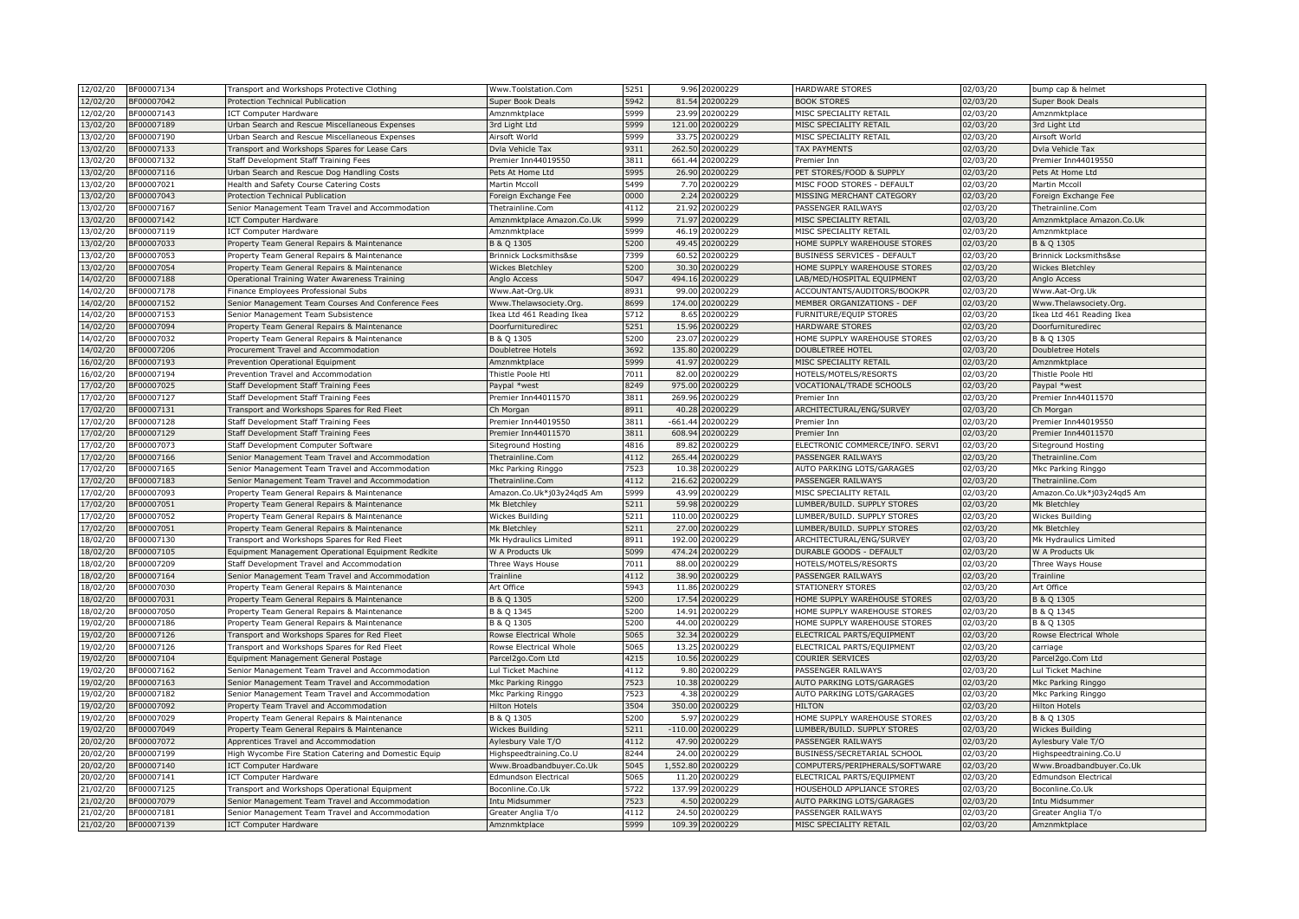| 12/02/20<br>BF00007134             | Transport and Workshops Protective Clothing                                                        | Www.Toolstation.Com                        | 5251 | 9.96      | 20200229 | HARDWARE STORES                 | 02/03/20              | bump cap & helmet                          |
|------------------------------------|----------------------------------------------------------------------------------------------------|--------------------------------------------|------|-----------|----------|---------------------------------|-----------------------|--------------------------------------------|
| 12/02/20<br>BF00007042             | Protection Technical Publication                                                                   | Super Book Deals                           | 5942 | 81.54     | 20200229 | <b>BOOK STORES</b>              | 02/03/20              | Super Book Deals                           |
| 12/02/20<br>3F00007143             | ICT Computer Hardware                                                                              | Amznmktplace                               | 5999 | 23.99     | 0200229  | MISC SPECIALITY RETAIL          | 02/03/20              | Amznmktplace                               |
| 13/02/20<br>3F00007189             | Urban Search and Rescue Miscellaneous Expenses                                                     | 3rd Light Ltd                              | 5999 | 121.00    | 20200229 | MISC SPECIALITY RETAIL          | 02/03/20              | 3rd Light Ltd                              |
| 13/02/20<br>3F00007190             | Urban Search and Rescue Miscellaneous Expenses                                                     | Airsoft World                              | 5999 | 33.75     | 20200229 | MISC SPECIALITY RETAIL          | 02/03/20              | Airsoft World                              |
| 13/02/20<br>BF00007133             | Transport and Workshops Spares for Lease Cars                                                      | Dvla Vehicle Tax                           | 9311 | 262.50    | 0200229  | <b>TAX PAYMENTS</b>             | 02/03/20              | Dvla Vehicle Tax                           |
| 13/02/20<br>BF00007132             | Staff Development Staff Training Fees                                                              | Premier Inn44019550                        | 3811 | 661.4     | 0200229  | Premier Inr                     | 02/03/20              | Premier Inn44019550                        |
| 13/02/20<br>BF00007116             | Urban Search and Rescue Dog Handling Costs                                                         | Pets At Home Ltd                           | 5995 | 26.90     | 20200229 | PET STORES/FOOD & SUPPLY        | 02/03/20              | Pets At Home Ltd                           |
| 13/02/20<br>3F00007021             | Health and Safety Course Catering Costs                                                            | Martin Mccoll                              | 5499 | 7.70      | 20200229 | MISC FOOD STORES - DEFAULT      | 02/03/20              | Martin Mccoll                              |
| 13/02/20<br>3F00007043             | Protection Technical Publication                                                                   | Foreign Exchange Fee                       | 0000 | 2.24      | 0200229  | MISSING MERCHANT CATEGORY       | 02/03/20              | Foreign Exchange Fee                       |
| 13/02/20<br>BF00007167             | Senior Management Team Travel and Accommodation                                                    | Thetrainline.Com                           | 4112 | 21.92     | 0200229  | PASSENGER RAILWAYS              | 02/03/20              | Thetrainline.Com                           |
| 13/02/20<br>3F00007142             | <b>ICT Computer Hardware</b>                                                                       | Amznmktplace Amazon.Co.Uk                  | 5999 | 71.97     | 0200229  | MISC SPECIALITY RETAIL          | 02/03/20              | Amznmktplace Amazon.Co.Uk                  |
| 13/02/20<br>BF00007119             | <b>ICT Computer Hardware</b>                                                                       | Amznmktplace                               | 5999 | 46.19     | 20200229 | MISC SPECIALITY RETAIL          | 02/03/20              | Amznmktplace                               |
| 13/02/20<br>BF00007033             | Property Team General Repairs & Maintenance                                                        | B & Q 1305                                 | 5200 | 49.45     | 0200229  | HOME SUPPLY WAREHOUSE STORES    | 02/03/20              | B & Q 1305                                 |
| 13/02/20<br>BF00007053             | Property Team General Repairs & Maintenance                                                        | Brinnick Locksmiths&se                     | 7399 | 60.5      | 0200229  | BUSINESS SERVICES - DEFAULT     | 02/03/20              | Brinnick Locksmiths&se                     |
| 13/02/20<br>3F00007054             | Property Team General Repairs & Maintenance                                                        | Wickes Bletchley                           | 5200 | 30.30     | 0200229  | HOME SUPPLY WAREHOUSE STORES    | 02/03/20              | <b>Wickes Bletchley</b>                    |
| 14/02/20<br>BF00007188             | Operational Training Water Awareness Training                                                      | Anglo Access                               | 5047 | 494.16    | 0200229  | LAB/MED/HOSPITAL EQUIPMENT      | 02/03/20              | Anglo Access                               |
| 14/02/20<br>BF00007178             | Finance Employees Professional Subs                                                                | Www.Aat-Org.Uk                             | 8931 | 99.0      | 0200229  | ACCOUNTANTS/AUDITORS/BOOKPR     | 02/03/20              | Www.Aat-Org.Uk                             |
| BF00007152<br>14/02/20             | Senior Management Team Courses And Conference Fees                                                 | Www.Thelawsociety.Org.                     | 3699 | 174.00    | 0200229  | MEMBER ORGANIZATIONS - DEF      | 02/03/20              | Www.Thelawsociety.Org.                     |
| 14/02/20<br>3F00007153             | Senior Management Team Subsistence                                                                 | Ikea Ltd 461 Reading Ikea                  | 5712 | 8.65      | 20200229 | FURNITURE/EQUIP STORES          | 02/03/20              | Ikea Ltd 461 Reading Ikea                  |
| 14/02/20<br>BF00007094             | Property Team General Repairs & Maintenance                                                        | Doorfurnituredirec                         | 5251 | 15.96     | 0200229  | HARDWARE STORES                 | 02/03/20              | Doorfurnituredirec                         |
| 14/02/20<br>BF00007032             | Property Team General Repairs & Maintenance                                                        | B & Q 1305                                 | 5200 | 23.07     | 0200229  | HOME SUPPLY WAREHOUSE STORES    | 02/03/20              | B & Q 1305                                 |
| 14/02/20<br>BF00007206             | Procurement Travel and Accommodation                                                               | Doubletree Hotels                          | 3692 | 135.8     | 0200229  | DOUBLETREE HOTEL                | $\overline{02}/03/20$ | Doubletree Hotels                          |
| 16/02/20<br>BF00007193             | Prevention Operational Equipment                                                                   | Amznmktplace                               | 5999 | 41.9      | 20200229 | MISC SPECIALITY RETAIL          | 02/03/20              | Amznmktplace                               |
| 16/02/20<br>3F00007194             | Prevention Travel and Accommodatior                                                                | Thistle Poole Htl                          | 7011 | 82.0      | 0200229  | HOTELS/MOTELS/RESORTS           | 02/03/20              | Thistle Poole Htl                          |
| 17/02/20<br>3F00007025             | Staff Development Staff Training Fees                                                              | Paypal *west                               | 8249 | 975.0     | 0200229  | VOCATIONAL/TRADE SCHOOLS        | 02/03/20              | Paypal *west                               |
| 17/02/20<br>BF00007127             | Staff Development Staff Training Fees                                                              | Premier Inn44011570                        | 3811 | 269.96    | 0200229  | Premier Inn                     | 02/03/20              | Premier Inn44011570                        |
| 17/02/20<br>BF00007131             | Transport and Workshops Spares for Red Fleet                                                       | Ch Morgan                                  | 8911 | 40.28     | 0200229  | ARCHITECTURAL/ENG/SURVEY        | 02/03/20              | Ch Morgan                                  |
| 17/02/20<br>3F00007128             |                                                                                                    |                                            | 3811 | $-661.44$ | 20200229 |                                 | 02/03/20              |                                            |
| 17/02/20<br>BF00007129             | Staff Development Staff Training Fees<br>Staff Development Staff Training Fees                     | Premier Inn44019550<br>Premier Inn44011570 | 3811 | 608.9     | 0200229  | Premier Inn<br>Premier Inn      | 02/03/20              | Premier Inn44019550<br>Premier Inn44011570 |
| 17/02/20<br>3F00007073             | Staff Development Computer Software                                                                | Siteground Hosting                         | 4816 | 89.8      | 0200229  | ELECTRONIC COMMERCE/INFO. SERVI | 02/03/20              | Siteground Hosting                         |
| 17/02/20<br>3F00007166             | Senior Management Team Travel and Accommodation                                                    | Thetrainline.Com                           | 4112 | 265.4     | 0200229  | PASSENGER RAILWAYS              | 02/03/20              | Thetrainline.Com                           |
| 17/02/20<br>3F00007165             |                                                                                                    |                                            | 7523 | 10.38     | 0200229  | AUTO PARKING LOTS/GARAGES       | 02/03/20              |                                            |
| 17/02/20<br>BF00007183             | Senior Management Team Travel and Accommodation<br>Senior Management Team Travel and Accommodation | Mkc Parking Ringgo<br>Thetrainline.Com     | 4112 | 216.6     | 0200229  | PASSENGER RAILWAYS              | 02/03/20              | Mkc Parking Ringgo<br>Thetrainline.Com     |
| 17/02/20<br>BF00007093             | Property Team General Repairs & Maintenance                                                        | Amazon.Co.Uk*j03y24qd5 Am                  | 5999 | 43.99     | 0200229  | MISC SPECIALITY RETAIL          | 02/03/20              | Amazon.Co.Uk*j03y24qd5 Am                  |
| 17/02/20<br>3F00007051             | Property Team General Repairs & Maintenance                                                        | Mk Bletchley                               | 5211 | 59.98     | 0200229  | LUMBER/BUILD. SUPPLY STORES     | 02/03/20              | Mk Bletchley                               |
| 17/02/20<br>3F00007052             |                                                                                                    |                                            | 5211 | 110.00    | 20200229 | LUMBER/BUILD. SUPPLY STORES     | 02/03/20              |                                            |
| 17/02/20<br>BF00007051             | Property Team General Repairs & Maintenance                                                        | Wickes Building                            | 5211 | 27.00     | 0200229  | LUMBER/BUILD. SUPPLY STORES     |                       | <b>Wickes Building</b>                     |
| 18/02/20<br>BF00007130             | Property Team General Repairs & Maintenance<br>Transport and Workshops Spares for Red Fleet        | Mk Bletchley<br>Mk Hydraulics Limited      | 8911 | 192.0     | 0200229  | ARCHITECTURAL/ENG/SURVEY        | 02/03/20<br>02/03/20  | Mk Bletchley<br>Mk Hydraulics Limited      |
| 3F00007105                         |                                                                                                    |                                            | 5099 | 474.24    | 0200229  | DURABLE GOODS - DEFAULT         |                       |                                            |
| 18/02/20<br>18/02/20<br>3F00007209 | Equipment Management Operational Equipment Redkite                                                 | W A Products Uk                            | 7011 | 88.00     | 20200229 | HOTELS/MOTELS/RESORTS           | 02/03/20<br>02/03/20  | W A Products Uk                            |
|                                    | Staff Development Travel and Accommodation                                                         | Three Ways House                           |      |           |          |                                 |                       | Three Ways House                           |
| 18/02/20<br>BF00007164             | Senior Management Team Travel and Accommodation                                                    | Trainline                                  | 4112 | 38.9      | 0200229  | PASSENGER RAILWAYS              | 02/03/20              | Trainline                                  |
| 18/02/20<br>BF00007030             | Property Team General Repairs & Maintenance                                                        | Art Office                                 | 5943 | 11.86     | 0200229  | STATIONERY STORES               | 02/03/20              | Art Office                                 |
| 18/02/20<br>BF00007031             | Property Team General Repairs & Maintenance                                                        | B & Q 1305                                 | 5200 | 17.54     | 20200229 | HOME SUPPLY WAREHOUSE STORES    | 02/03/20              | B & Q 1305                                 |
| 18/02/20<br>3F00007050             | Property Team General Repairs & Maintenance                                                        | B & Q 1345                                 | 5200 | 14.9      | 20200229 | HOME SUPPLY WAREHOUSE STORES    | 02/03/20              | B & Q 1345                                 |
| 19/02/20<br>3F00007186             | Property Team General Repairs & Maintenance                                                        | B & Q 1305                                 | 5200 | 44.00     | 0200229  | HOME SUPPLY WAREHOUSE STORES    | 02/03/20              | B & Q 1305                                 |
| 19/02/20<br>BF00007126             | Transport and Workshops Spares for Red Fleet                                                       | Rowse Electrical Whole                     | 5065 | 32.34     | 20200229 | ELECTRICAL PARTS/EQUIPMENT      | 02/03/20              | Rowse Electrical Whole                     |
| 19/02/20<br>3F00007126             | Transport and Workshops Spares for Red Fleet                                                       | Rowse Electrical Whole                     | 5065 | 13.25     | 0200229  | ELECTRICAL PARTS/EQUIPMENT      | 02/03/20              | carriage                                   |
| 19/02/20<br>3F00007104             | Equipment Management General Postage                                                               | Parcel2go.Com Ltd                          | 4215 | 10.56     | 20200229 | COURIER SERVICES                | 02/03/20              | Parcel2go.Com Ltd                          |
| 19/02/20<br>3F00007162             | Senior Management Team Travel and Accommodation                                                    | Lul Ticket Machine                         | 4112 | 9.80      | 20200229 | PASSENGER RAILWAYS              | 02/03/20              | Lul Ticket Machine                         |
| 19/02/20<br>3F00007163             | Senior Management Team Travel and Accommodation                                                    | Mkc Parking Ringgo                         | 7523 | 10.38     | 20200229 | AUTO PARKING LOTS/GARAGES       | 02/03/20              | Mkc Parking Ringgo                         |
| 19/02/20<br>3F00007182             | Senior Management Team Travel and Accommodation                                                    | Mkc Parking Ringgo                         | 7523 | 4.38      | 0200229  | AUTO PARKING LOTS/GARAGES       | 02/03/20              | Mkc Parking Ringgo                         |
| 19/02/20<br>3F00007092             | Property Team Travel and Accommodation                                                             | <b>Hilton Hotels</b>                       | 3504 | 350.00    | 20200229 | <b>HILTON</b>                   | 02/03/20              | <b>Hilton Hotels</b>                       |
| 19/02/20<br>3F00007029             | Property Team General Repairs & Maintenance                                                        | B & Q 1305                                 | 5200 | 5.97      | 20200229 | HOME SUPPLY WAREHOUSE STORES    | $\overline{02}/03/20$ | B & Q 1305                                 |
| 19/02/20<br>3F00007049             | Property Team General Repairs & Maintenance                                                        | <b>Wickes Building</b>                     | 5211 | $-110.0$  | 0200229  | LUMBER/BUILD. SUPPLY STORES     | 02/03/20              | <b>Wickes Building</b>                     |
| 20/02/20<br>BF00007072             | Apprentices Travel and Accommodation                                                               | Aylesbury Vale T/O                         | 4112 | 47.90     | 20200229 | PASSENGER RAILWAYS              | 02/03/20              | Aylesbury Vale T/O                         |
| BF00007199<br>20/02/20             | High Wycombe Fire Station Catering and Domestic Equip                                              | Highspeedtraining.Co.U                     | 8244 | 24.00     | 20200229 | BUSINESS/SECRETARIAL SCHOOL     | 02/03/20              | Highspeedtraining.Co.U                     |
| 20/02/20<br>3F00007140             | <b>ICT Computer Hardware</b>                                                                       | Www.Broadbandbuyer.Co.Uk                   | 5045 | 1,552.8   | 20200229 | COMPUTERS/PERIPHERALS/SOFTWARE  | 02/03/20              | Www.Broadbandbuyer.Co.Uk                   |
| 20/02/20<br>3F00007141             | <b>ICT Computer Hardware</b>                                                                       | Edmundson Electrical                       | 5065 | 11.20     | 20200229 | ELECTRICAL PARTS/EQUIPMENT      | 02/03/20              | <b>Edmundson Electrical</b>                |
| 21/02/20<br>3F00007125             | Transport and Workshops Operational Equipment                                                      | Boconline.Co.Uk                            | 5722 | 137.99    | 0200229  | HOUSEHOLD APPLIANCE STORES      | 02/03/20              | Boconline.Co.Uk                            |
| 21/02/20<br>BF00007079             | Senior Management Team Travel and Accommodation                                                    | Intu Midsummer                             | 7523 | 4.5(      | 20200229 | AUTO PARKING LOTS/GARAGES       | 02/03/20              | Intu Midsummer                             |
| 21/02/20<br>BF00007181             | Senior Management Team Travel and Accommodation                                                    | Greater Anglia T/o                         | 4112 | 24.50     | 20200229 | PASSENGER RAILWAYS              | 02/03/20              | Greater Anglia T/o                         |
| 21/02/20<br>BF00007139             | <b>ICT Computer Hardware</b>                                                                       | Amznmktplace                               | 5999 | 109.39    | 20200229 | MISC SPECIALITY RETAIL          | 02/03/20              | Amznmktplace                               |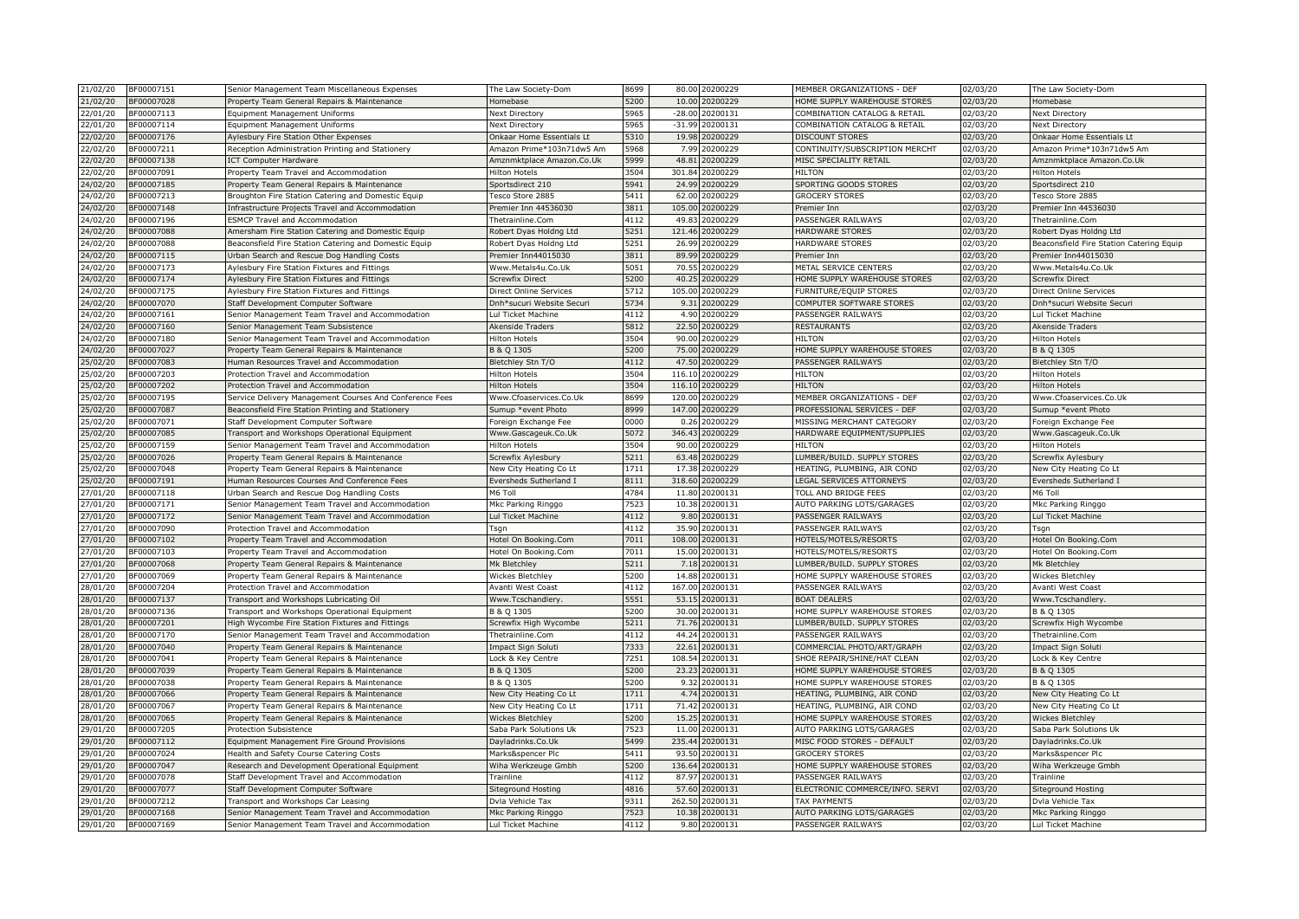| 21/02/20<br>BF00007151                           | Senior Management Team Miscellaneous Expenses           | The Law Society-Dom       | 8699         | 80.00           | 20200229             | MEMBER ORGANIZATIONS - DEF                                  | 02/03/20              | The Law Society-Dom                      |
|--------------------------------------------------|---------------------------------------------------------|---------------------------|--------------|-----------------|----------------------|-------------------------------------------------------------|-----------------------|------------------------------------------|
| 21/02/20<br>BF00007028                           | Property Team General Repairs & Maintenance             | Homebase                  | 5200         | 10.00           | 0200229              | HOME SUPPLY WAREHOUSE STORES                                | 02/03/20              | Homebase                                 |
| 3F00007113<br>22/01/20                           | Equipment Management Uniforms                           | <b>Next Directory</b>     | 5965         | $-28.00$        | 0200131              | COMBINATION CATALOG & RETAIL                                | 02/03/20              | Next Directory                           |
| 22/01/20<br>3F00007114                           | <b>Equipment Management Uniforms</b>                    | <b>Next Directory</b>     | 5965         | $-31.99$        | 20200131             | COMBINATION CATALOG & RETAIL                                | 02/03/20              | Next Directory                           |
| 22/02/20<br>BF00007176                           | Aylesbury Fire Station Other Expenses                   | Onkaar Home Essentials Lt | 5310         | 19.98           | 20200229             | DISCOUNT STORES                                             | 02/03/20              | Onkaar Home Essentials Lt                |
| 22/02/20<br>3F00007211                           | Reception Administration Printing and Stationery        | Amazon Prime*103n71dw5 Am | 5968         | 7.99            | 0200229              | CONTINUITY/SUBSCRIPTION MERCHT                              | 02/03/20              | Amazon Prime*103n71dw5 Am                |
| 22/02/20<br>BF00007138                           | <b>ICT Computer Hardware</b>                            | Amznmktplace Amazon.Co.Uk | 5999         | 48.8            | 0200229              | MISC SPECIALITY RETAIL                                      | $\overline{02}/03/20$ | Amznmktplace Amazon.Co.Uk                |
| 22/02/20<br>3F00007091                           | Property Team Travel and Accommodation                  | <b>Hilton Hotels</b>      | 3504         | 301.84          | 20200229             | HII TON                                                     | 02/03/20              | <b>Hilton Hotels</b>                     |
| 24/02/20<br>3F00007185                           | Property Team General Repairs & Maintenance             | Sportsdirect 210          | 5941         | 24.99           | 0200229              | SPORTING GOODS STORES                                       | 02/03/20              | Sportsdirect 210                         |
| 24/02/20<br>BF00007213                           | Broughton Fire Station Catering and Domestic Equip      | Tesco Store 2885          | 5411         | 62.0            | 0200229              | <b>GROCERY STORES</b>                                       | 02/03/20              | Tesco Store 2885                         |
| 24/02/20<br>3F00007148                           | Infrastructure Projects Travel and Accommodation        | Premier Inn 44536030      | 3811         | 105.00          | 0200229              | Premier Inn                                                 | 02/03/20              | Premier Inn 44536030                     |
| 24/02/20<br>3F00007196                           | <b>ESMCP Travel and Accommodation</b>                   | Thetrainline.Com          | 4112         | 49.8            | 0200229              | PASSENGER RAILWAYS                                          | 02/03/20              | Thetrainline.Com                         |
| 24/02/20<br>3F00007088                           | Amersham Fire Station Catering and Domestic Equip       | Robert Dyas Holdng Ltd    | 5251         | 121.46          | 20200229             | HARDWARE STORES                                             | 02/03/20              | Robert Dyas Holdng Ltd                   |
| 24/02/20<br>3F00007088                           | Beaconsfield Fire Station Catering and Domestic Equip   | Robert Dyas Holdng Ltd    | 5251         | 26.99           | 0200229              | HARDWARE STORES                                             | 02/03/20              | Beaconsfield Fire Station Catering Equip |
| 24/02/20<br>3F00007115                           | Urban Search and Rescue Dog Handling Costs              | Premier Inn44015030       | 3811         | 89.9            | 0200229              | Premier Inn                                                 | 02/03/20              | Premier Inn44015030                      |
| 24/02/20<br>BF00007173                           | Aylesbury Fire Station Fixtures and Fittings            | Www.Metals4u.Co.Uk        | 5051         | 70.5            | 0200229              | METAL SERVICE CENTERS                                       | 02/03/20              | Www.Metals4u.Co.Uk                       |
| 24/02/20<br>BF00007174                           | Aylesbury Fire Station Fixtures and Fittings            | Screwfix Direct           | 5200         | 40.25           | 0200229              | HOME SUPPLY WAREHOUSE STORES                                | 02/03/20              | <b>Screwfix Direct</b>                   |
| 24/02/20<br>3F00007175                           | Aylesbury Fire Station Fixtures and Fittings            | Direct Online Services    | 5712         | 105.0           | 0200229              | FURNITURE/EQUIP STORES                                      | 02/03/20              | Direct Online Services                   |
| 24/02/20<br>3F00007070                           | Staff Development Computer Software                     | Dnh*sucuri Website Securi | 5734         | 9.31            | 0200229              | COMPUTER SOFTWARE STORES                                    | 02/03/20              | Dnh*sucuri Website Securi                |
| 24/02/20<br>3F00007161                           | Senior Management Team Travel and Accommodation         | Lul Ticket Machine        | 4112         | 4.90            | 0200229              | PASSENGER RAILWAYS                                          | 02/03/20              | Lul Ticket Machine                       |
| 24/02/20<br>3F00007160                           | Senior Management Team Subsistence                      | Akenside Traders          | 5812         | 22.50           | 0200229              | <b>RESTAURANTS</b>                                          | 02/03/20              | <b>Akenside Traders</b>                  |
| 24/02/20<br>3F00007180                           | Senior Management Team Travel and Accommodation         | Hilton Hotels             | 3504         | 90.00           | 20200229             | HII TON                                                     | 02/03/20              | Hilton Hotels                            |
| 24/02/20<br>BF00007027                           | Property Team General Repairs & Maintenance             | B & Q 1305                | 5200         | 75.0            | 0200229              | HOME SUPPLY WAREHOUSE STORES                                | 02/03/20              | B & Q 1305                               |
| 25/02/20<br>3F00007083                           | Human Resources Travel and Accommodation                | Bletchley Stn T/O         | 4112         | 47.50           | 20200229             | PASSENGER RAILWAYS                                          | 02/03/20              | Bletchley Stn T/O                        |
| 25/02/20<br>3F00007203                           | Protection Travel and Accommodation                     | <b>Hilton Hotels</b>      | 3504         | 116.1           | 0200229              | HILTON                                                      | 02/03/20              | <b>Hilton Hotels</b>                     |
| 25/02/20<br>3F00007202                           | Protection Travel and Accommodation                     | <b>Hilton Hotels</b>      | 3504         | 116.1           | 20200229             | <b>HILTON</b>                                               | 02/03/20              | <b>Hilton Hotels</b>                     |
| 25/02/20<br>3F00007195                           | Service Delivery Management Courses And Conference Fees | Www.Cfoaservices.Co.Uk    | 8699         | 120.00          | 0200229              | MEMBER ORGANIZATIONS - DEF                                  | 02/03/20              | Www.Cfoaservices.Co.Uk                   |
| 25/02/20<br>BF00007087                           | Beaconsfield Fire Station Printing and Stationery       | Sumup *event Photo        | 8999         | 147.0           | 20200229             | PROFESSIONAL SERVICES - DEF                                 | 02/03/20              | Sumup *event Photo                       |
| 25/02/20<br>3F00007071                           | Staff Development Computer Software                     | Foreign Exchange Fee      | 0000         | 0.26            | 0200229              | MISSING MERCHANT CATEGORY                                   | 02/03/20              | Foreign Exchange Fee                     |
| 25/02/20<br>3F00007085                           | Transport and Workshops Operational Equipment           | Www.Gascageuk.Co.Uk       | 5072         | 346.4           | 0200229              | HARDWARE EQUIPMENT/SUPPLIES                                 | 02/03/20              | Www.Gascageuk.Co.Uk                      |
| 25/02/20<br>3F00007159                           | Senior Management Team Travel and Accommodation         | <b>Hilton Hotels</b>      | 3504         | 90.0            | 0200229              | HILTON                                                      | 02/03/20              | Hilton Hotels                            |
| 25/02/20<br>BF00007026                           | Property Team General Repairs & Maintenance             | Screwfix Aylesbury        | 5211         | 63.48           | 0200229              | LUMBER/BUILD. SUPPLY STORES                                 | 02/03/20              | Screwfix Aylesbury                       |
| 25/02/20<br>3F00007048                           | Property Team General Repairs & Maintenance             | New City Heating Co Lt    | 1711         | 17.38           | 0200229              | HEATING, PLUMBING, AIR COND                                 | 02/03/20              | New City Heating Co Lt                   |
| 25/02/20<br>BF00007191                           | Human Resources Courses And Conference Fees             | Eversheds Sutherland I    | 8111         | 318.6           | 20200229             | LEGAL SERVICES ATTORNEYS                                    | 02/03/20              | Eversheds Sutherland I                   |
| 27/01/20<br>BF00007118                           | Urban Search and Rescue Dog Handling Costs              | M6 Toll                   | 4784         | 11.80           | 20200131             | TOLL AND BRIDGE FEES                                        | 02/03/20              | M6 Toll                                  |
| 27/01/20<br>3F00007171                           | Senior Management Team Travel and Accommodation         | Mkc Parking Ringgo        | 7523         | 10.3            | 20200131             | AUTO PARKING LOTS/GARAGES                                   | 02/03/20              | Mkc Parking Ringgo                       |
| 27/01/20<br>3F00007172                           | Senior Management Team Travel and Accommodation         | Lul Ticket Machine        | 4112         | 9.80            | 0200131              | PASSENGER RAILWAYS                                          | 02/03/20              | Lul Ticket Machine                       |
| 27/01/20<br>3F00007090                           | Protection Travel and Accommodation                     | Tsgn                      | 4112         | 35.90           | 20200131             | PASSENGER RAILWAYS                                          | 02/03/20              | Tsgn                                     |
| 27/01/20<br>3F00007102                           | Property Team Travel and Accommodation                  | Hotel On Booking.Com      | 7011         | 108.0           | 20200131             | HOTELS/MOTELS/RESORTS                                       | 02/03/20              | Hotel On Booking.Com                     |
| 27/01/20<br>BF00007103                           | Property Team Travel and Accommodation                  | Hotel On Booking.Com      | 7011         | 15.00           | 20200131             | HOTELS/MOTELS/RESORTS                                       | 02/03/20              | Hotel On Booking.Com                     |
| 27/01/20<br>3F00007068                           | Property Team General Repairs & Maintenance             | Mk Bletchley              | 5211         | 7.18            | 0200131              | LUMBER/BUILD. SUPPLY STORES                                 | 02/03/20              | Mk Bletchley                             |
| 27/01/20<br>3F00007069                           | Property Team General Repairs & Maintenance             |                           | 5200         | 14.88           | 20200131             | HOME SUPPLY WAREHOUSE STORES                                | 02/03/20              | Wickes Bletchley                         |
| 3F00007204                                       |                                                         | Wickes Bletchley          | 4112         |                 | 0200131              |                                                             |                       |                                          |
| 28/01/20<br>28/01/20<br>BF00007137               | Protection Travel and Accommodation                     | Avanti West Coast         | 5551         | 167.00<br>53.15 | 20200131             | PASSENGER RAILWAYS<br><b>BOAT DEALERS</b>                   | 02/03/20<br>02/03/20  | Avanti West Coast                        |
|                                                  | Transport and Workshops Lubricating Oil                 | Www.Tcschandlery          |              |                 |                      |                                                             |                       | Www.Tcschandlery                         |
| 28/01/20<br>3F00007136<br>28/01/20<br>3F00007201 | Transport and Workshops Operational Equipment           | B & Q 1305                | 5200<br>5211 | 30.00<br>71.76  | 20200131<br>20200131 | HOME SUPPLY WAREHOUSE STORES<br>LUMBER/BUILD. SUPPLY STORES | 02/03/20<br>02/03/20  | B & Q 1305                               |
|                                                  | High Wycombe Fire Station Fixtures and Fittings         | Screwfix High Wycombe     |              |                 |                      |                                                             |                       | Screwfix High Wycombe                    |
| 28/01/20<br>3F00007170                           | Senior Management Team Travel and Accommodation         | Thetrainline.Com          | 4112         | 44.2            | 20200131             | PASSENGER RAILWAYS                                          | 02/03/20              | Thetrainline.Com                         |
| 28/01/20<br>3F00007040                           | Property Team General Repairs & Maintenance             | Impact Sign Soluti        | 7333         | 22.61           | 20200131             | COMMERCIAL PHOTO/ART/GRAPH                                  | 02/03/20              | Impact Sign Soluti                       |
| 28/01/20<br>BF00007041                           | Property Team General Repairs & Maintenance             | Lock & Key Centre         | 7251         | 108.54          | 20200131             | SHOE REPAIR/SHINE/HAT CLEAN                                 | 02/03/20              | Lock & Key Centre                        |
| 28/01/20<br>BF00007039                           | Property Team General Repairs & Maintenance             | B & Q 1305                | 5200         | 23.23           | 20200131             | HOME SUPPLY WAREHOUSE STORES                                | 02/03/20              | B & Q 1305                               |
| 28/01/20<br>BF00007038                           | Property Team General Repairs & Maintenance             | B & Q 1305                | 5200         | 9.31            | 0200131              | HOME SUPPLY WAREHOUSE STORES                                | 02/03/20              | B & O 1305                               |
| 28/01/20<br>3F00007066                           | Property Team General Repairs & Maintenance             | New City Heating Co Lt    | 1711         | 4.74            | 20200131             | HEATING, PLUMBING, AIR COND                                 | 02/03/20              | New City Heating Co Lt                   |
| 28/01/20<br>3F00007067                           | Property Team General Repairs & Maintenance             | New City Heating Co Lt    | 1711         | 71.42           | 20200131             | HEATING, PLUMBING, AIR COND                                 | 02/03/20              | New City Heating Co Lt                   |
| 28/01/20<br>3F00007065                           | Property Team General Repairs & Maintenance             | Wickes Bletchley          | 5200         | 15.25           | 20200131             | HOME SUPPLY WAREHOUSE STORES                                | 02/03/20              | <b>Wickes Bletchley</b>                  |
| 29/01/20<br>BF00007205                           | <b>Protection Subsistence</b>                           | Saba Park Solutions Uk    | 7523         | 11.0            | 0200131              | AUTO PARKING LOTS/GARAGES                                   | 02/03/20              | Saba Park Solutions Uk                   |
| 29/01/20<br>3F00007112                           | Equipment Management Fire Ground Provisions             | Dayladrinks.Co.Uk         | 5499         | 235.44          | 0200131              | MISC FOOD STORES - DEFAULT                                  | 02/03/20              | Dayladrinks.Co.Uk                        |
| 29/01/20<br>3F00007024                           | Health and Safety Course Catering Costs                 | Marks&spencer Plc         | 5411         | 93.50           | 20200131             | <b>GROCERY STORES</b>                                       | 02/03/20              | Marks&spencer Plo                        |
| 29/01/20<br>BF00007047                           | Research and Development Operational Equipment          | Wiha Werkzeuge Gmbh       | 5200         | 136.6           | 20200131             | HOME SUPPLY WAREHOUSE STORES                                | 02/03/20              | Wiha Werkzeuge Gmbh                      |
| 29/01/20<br>3F00007078                           | Staff Development Travel and Accommodation              | Trainline                 | 4112         | 87.97           | 0200131              | PASSENGER RAILWAYS                                          | 02/03/20              | Trainline                                |
| 29/01/20<br>BF00007077                           | Staff Development Computer Software                     | Siteground Hosting        | 4816         | 57.6            | 0200131              | ELECTRONIC COMMERCE/INFO. SERVI                             | 02/03/20              | <b>Siteground Hosting</b>                |
| 29/01/20<br>3F00007212                           | Transport and Workshops Car Leasing                     | Dvla Vehicle Tax          | 9311         | 262.50          | 20200131             | <b>TAX PAYMENTS</b>                                         | 02/03/20              | Dvla Vehicle Tax                         |
| 29/01/20<br>3F00007168                           | Senior Management Team Travel and Accommodation         | Mkc Parking Ringgo        | 7523         | 10.38           | 20200131             | AUTO PARKING LOTS/GARAGES                                   | 02/03/20              | Mkc Parking Ringgo                       |
| 29/01/20<br>BF00007169                           | Senior Management Team Travel and Accommodation         | Lul Ticket Machine        | 4112         | 9.80            | 20200131             | PASSENGER RAILWAYS                                          | 02/03/20              | Lul Ticket Machine                       |